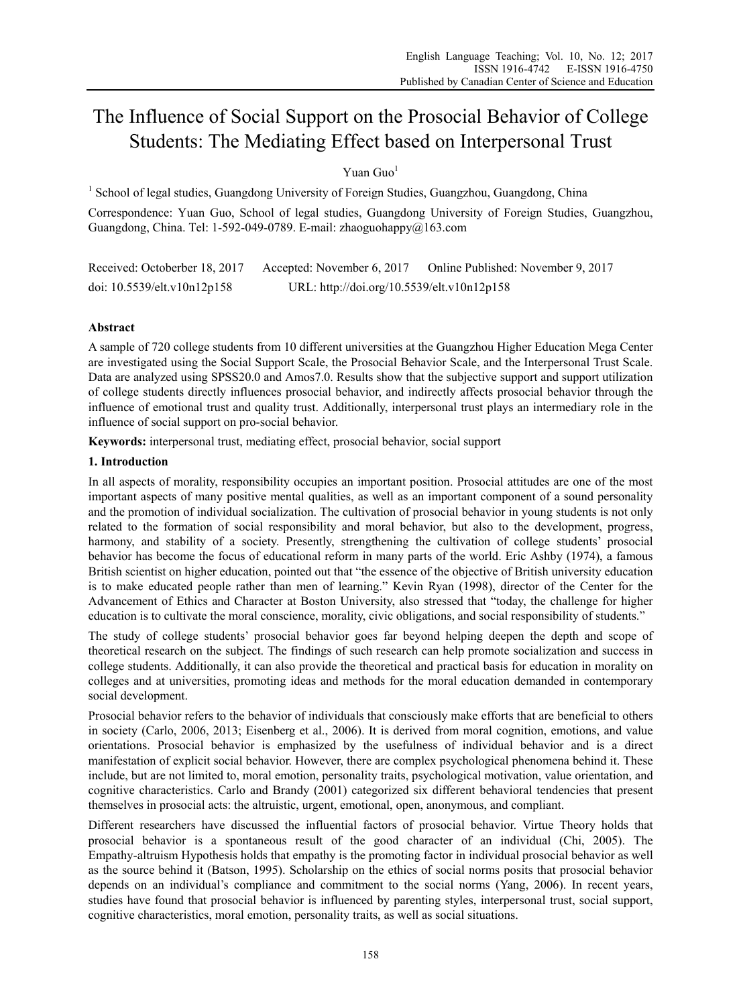# The Influence of Social Support on the Prosocial Behavior of College Students: The Mediating Effect based on Interpersonal Trust

## Yuan Guo<sup>1</sup>

<sup>1</sup> School of legal studies, Guangdong University of Foreign Studies, Guangzhou, Guangdong, China

Correspondence: Yuan Guo, School of legal studies, Guangdong University of Foreign Studies, Guangzhou, Guangdong, China. Tel: 1-592-049-0789. E-mail: zhaoguohappy@163.com

Received: Octoberber 18, 2017 Accepted: November 6, 2017 Online Published: November 9, 2017 doi: 10.5539/elt.v10n12p158 URL: http://doi.org/10.5539/elt.v10n12p158

## **Abstract**

A sample of 720 college students from 10 different universities at the Guangzhou Higher Education Mega Center are investigated using the Social Support Scale, the Prosocial Behavior Scale, and the Interpersonal Trust Scale. Data are analyzed using SPSS20.0 and Amos7.0. Results show that the subjective support and support utilization of college students directly influences prosocial behavior, and indirectly affects prosocial behavior through the influence of emotional trust and quality trust. Additionally, interpersonal trust plays an intermediary role in the influence of social support on pro-social behavior.

**Keywords:** interpersonal trust, mediating effect, prosocial behavior, social support

## **1. Introduction**

In all aspects of morality, responsibility occupies an important position. Prosocial attitudes are one of the most important aspects of many positive mental qualities, as well as an important component of a sound personality and the promotion of individual socialization. The cultivation of prosocial behavior in young students is not only related to the formation of social responsibility and moral behavior, but also to the development, progress, harmony, and stability of a society. Presently, strengthening the cultivation of college students' prosocial behavior has become the focus of educational reform in many parts of the world. Eric Ashby (1974), a famous British scientist on higher education, pointed out that "the essence of the objective of British university education is to make educated people rather than men of learning." Kevin Ryan (1998), director of the Center for the Advancement of Ethics and Character at Boston University, also stressed that "today, the challenge for higher education is to cultivate the moral conscience, morality, civic obligations, and social responsibility of students."

The study of college students' prosocial behavior goes far beyond helping deepen the depth and scope of theoretical research on the subject. The findings of such research can help promote socialization and success in college students. Additionally, it can also provide the theoretical and practical basis for education in morality on colleges and at universities, promoting ideas and methods for the moral education demanded in contemporary social development.

Prosocial behavior refers to the behavior of individuals that consciously make efforts that are beneficial to others in society (Carlo, 2006, 2013; Eisenberg et al., 2006). It is derived from moral cognition, emotions, and value orientations. Prosocial behavior is emphasized by the usefulness of individual behavior and is a direct manifestation of explicit social behavior. However, there are complex psychological phenomena behind it. These include, but are not limited to, moral emotion, personality traits, psychological motivation, value orientation, and cognitive characteristics. Carlo and Brandy (2001) categorized six different behavioral tendencies that present themselves in prosocial acts: the altruistic, urgent, emotional, open, anonymous, and compliant.

Different researchers have discussed the influential factors of prosocial behavior. Virtue Theory holds that prosocial behavior is a spontaneous result of the good character of an individual (Chi, 2005). The Empathy-altruism Hypothesis holds that empathy is the promoting factor in individual prosocial behavior as well as the source behind it (Batson, 1995). Scholarship on the ethics of social norms posits that prosocial behavior depends on an individual's compliance and commitment to the social norms (Yang, 2006). In recent years, studies have found that prosocial behavior is influenced by parenting styles, interpersonal trust, social support, cognitive characteristics, moral emotion, personality traits, as well as social situations.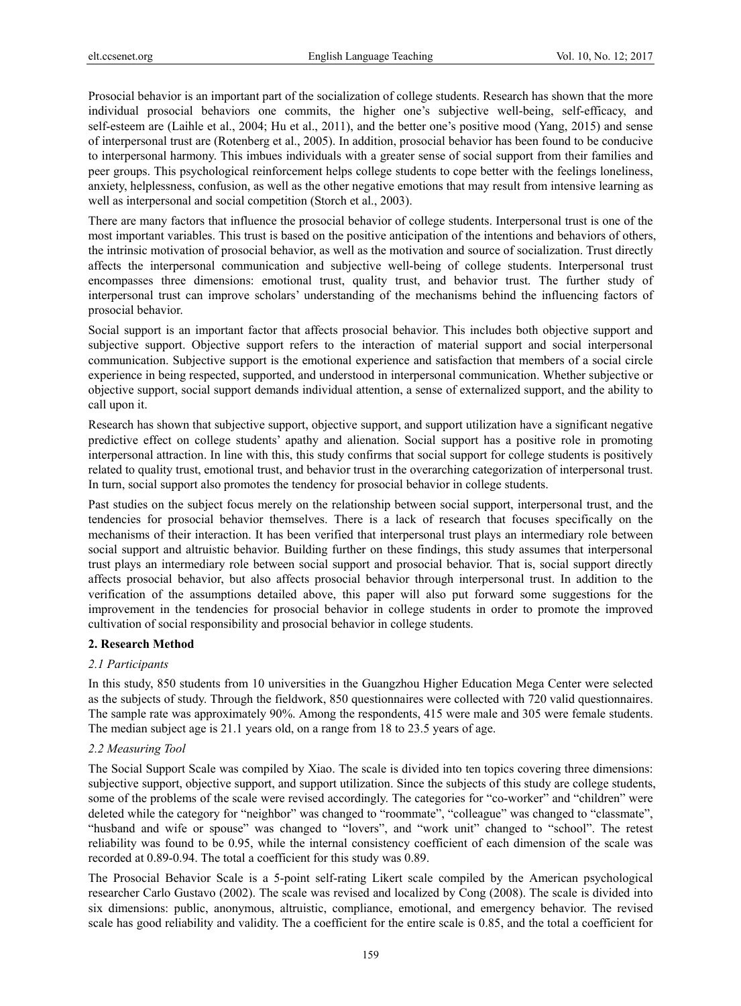Prosocial behavior is an important part of the socialization of college students. Research has shown that the more individual prosocial behaviors one commits, the higher one's subjective well-being, self-efficacy, and self-esteem are (Laihle et al., 2004; Hu et al., 2011), and the better one's positive mood (Yang, 2015) and sense of interpersonal trust are (Rotenberg et al., 2005). In addition, prosocial behavior has been found to be conducive to interpersonal harmony. This imbues individuals with a greater sense of social support from their families and peer groups. This psychological reinforcement helps college students to cope better with the feelings loneliness, anxiety, helplessness, confusion, as well as the other negative emotions that may result from intensive learning as well as interpersonal and social competition (Storch et al., 2003).

There are many factors that influence the prosocial behavior of college students. Interpersonal trust is one of the most important variables. This trust is based on the positive anticipation of the intentions and behaviors of others, the intrinsic motivation of prosocial behavior, as well as the motivation and source of socialization. Trust directly affects the interpersonal communication and subjective well-being of college students. Interpersonal trust encompasses three dimensions: emotional trust, quality trust, and behavior trust. The further study of interpersonal trust can improve scholars' understanding of the mechanisms behind the influencing factors of prosocial behavior.

Social support is an important factor that affects prosocial behavior. This includes both objective support and subjective support. Objective support refers to the interaction of material support and social interpersonal communication. Subjective support is the emotional experience and satisfaction that members of a social circle experience in being respected, supported, and understood in interpersonal communication. Whether subjective or objective support, social support demands individual attention, a sense of externalized support, and the ability to call upon it.

Research has shown that subjective support, objective support, and support utilization have a significant negative predictive effect on college students' apathy and alienation. Social support has a positive role in promoting interpersonal attraction. In line with this, this study confirms that social support for college students is positively related to quality trust, emotional trust, and behavior trust in the overarching categorization of interpersonal trust. In turn, social support also promotes the tendency for prosocial behavior in college students.

Past studies on the subject focus merely on the relationship between social support, interpersonal trust, and the tendencies for prosocial behavior themselves. There is a lack of research that focuses specifically on the mechanisms of their interaction. It has been verified that interpersonal trust plays an intermediary role between social support and altruistic behavior. Building further on these findings, this study assumes that interpersonal trust plays an intermediary role between social support and prosocial behavior. That is, social support directly affects prosocial behavior, but also affects prosocial behavior through interpersonal trust. In addition to the verification of the assumptions detailed above, this paper will also put forward some suggestions for the improvement in the tendencies for prosocial behavior in college students in order to promote the improved cultivation of social responsibility and prosocial behavior in college students.

## **2. Research Method**

## *2.1 Participants*

In this study, 850 students from 10 universities in the Guangzhou Higher Education Mega Center were selected as the subjects of study. Through the fieldwork, 850 questionnaires were collected with 720 valid questionnaires. The sample rate was approximately 90%. Among the respondents, 415 were male and 305 were female students. The median subject age is 21.1 years old, on a range from 18 to 23.5 years of age.

## *2.2 Measuring Tool*

The Social Support Scale was compiled by Xiao. The scale is divided into ten topics covering three dimensions: subjective support, objective support, and support utilization. Since the subjects of this study are college students, some of the problems of the scale were revised accordingly. The categories for "co-worker" and "children" were deleted while the category for "neighbor" was changed to "roommate", "colleague" was changed to "classmate", "husband and wife or spouse" was changed to "lovers", and "work unit" changed to "school". The retest reliability was found to be 0.95, while the internal consistency coefficient of each dimension of the scale was recorded at 0.89-0.94. The total а coefficient for this study was 0.89.

The Prosocial Behavior Scale is a 5-point self-rating Likert scale compiled by the American psychological researcher Carlo Gustavo (2002). The scale was revised and localized by Cong (2008). The scale is divided into six dimensions: public, anonymous, altruistic, compliance, emotional, and emergency behavior. The revised scale has good reliability and validity. The а coefficient for the entire scale is 0.85, and the total а coefficient for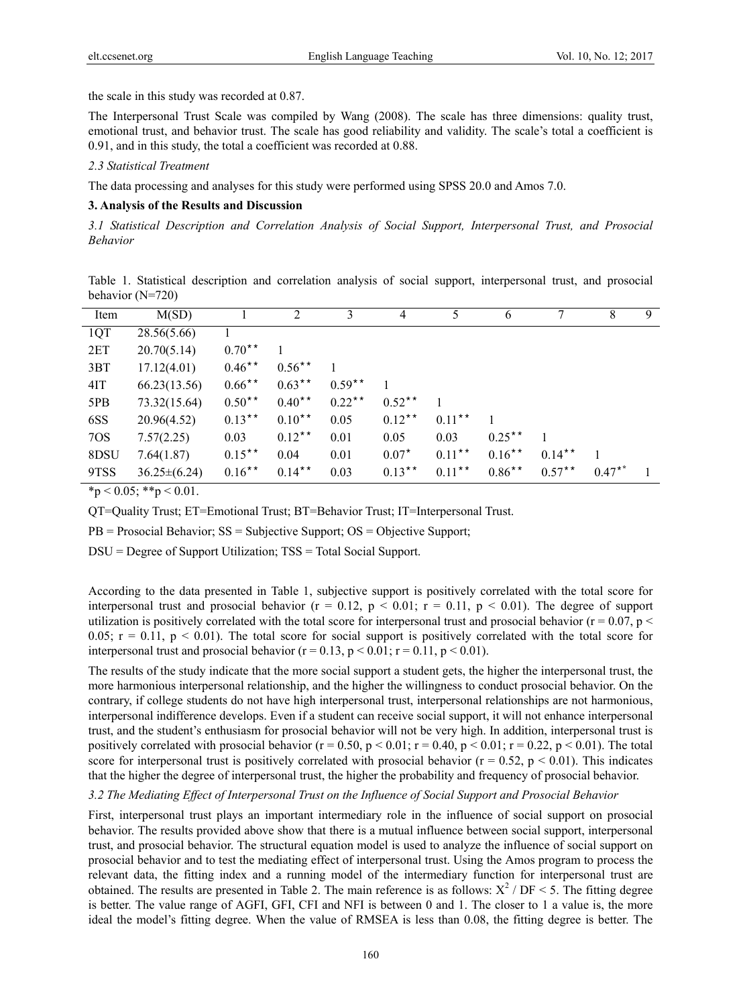the scale in this study was recorded at 0.87.

The Interpersonal Trust Scale was compiled by Wang (2008). The scale has three dimensions: quality trust, emotional trust, and behavior trust. The scale has good reliability and validity. The scale's total a coefficient is 0.91, and in this study, the total а coefficient was recorded at 0.88.

#### *2.3 Statistical Treatment*

The data processing and analyses for this study were performed using SPSS 20.0 and Amos 7.0.

#### **3. Analysis of the Results and Discussion**

*3.1 Statistical Description and Correlation Analysis of Social Support, Interpersonal Trust, and Prosocial Behavior* 

Table 1. Statistical description and correlation analysis of social support, interpersonal trust, and prosocial behavior (N=720)

| Item | M(SD)            |                      | 2         | 3         | 4         |           | 6         |           | 8                    | 9 |
|------|------------------|----------------------|-----------|-----------|-----------|-----------|-----------|-----------|----------------------|---|
| 1QT  | 28.56(5.66)      |                      |           |           |           |           |           |           |                      |   |
| 2ET  | 20.70(5.14)      | $0.70$ <sup>**</sup> |           |           |           |           |           |           |                      |   |
| 3BT  | 17.12(4.01)      | $0.46***$            | $0.56$ ** |           |           |           |           |           |                      |   |
| 4IT  | 66.23(13.56)     | $0.66$ **            | $0.63***$ | $0.59***$ |           |           |           |           |                      |   |
| 5PB  | 73.32(15.64)     | $0.50$ **            | $0.40***$ | $0.22$ ** | $0.52$ ** |           |           |           |                      |   |
| 6SS  | 20.96(4.52)      | $0.13***$            | $0.10***$ | 0.05      | $0.12$ ** | $0.11***$ |           |           |                      |   |
| 7OS  | 7.57(2.25)       | 0.03                 | $0.12***$ | 0.01      | 0.05      | 0.03      | $0.25***$ |           |                      |   |
| 8DSU | 7.64(1.87)       | $0.15***$            | 0.04      | 0.01      | $0.07*$   | $0.11***$ | $0.16***$ | $0.14***$ |                      |   |
| 9TSS | $36.25\pm(6.24)$ | $0.16***$            | $0.14***$ | 0.03      | $0.13***$ | $0.11***$ | $0.86***$ | $0.57$ ** | $0.47$ <sup>**</sup> |   |

 $*<sub>p</sub> < 0.05$ ;  $*<sub>p</sub> < 0.01$ .

QT=Quality Trust; ET=Emotional Trust; BT=Behavior Trust; IT=Interpersonal Trust.

PB = Prosocial Behavior; SS = Subjective Support; OS = Objective Support;

DSU = Degree of Support Utilization; TSS = Total Social Support.

According to the data presented in Table 1, subjective support is positively correlated with the total score for interpersonal trust and prosocial behavior  $(r = 0.12, p < 0.01; r = 0.11, p < 0.01)$ . The degree of support utilization is positively correlated with the total score for interpersonal trust and prosocial behavior ( $r = 0.07$ ,  $p <$ 0.05;  $r = 0.11$ ,  $p < 0.01$ ). The total score for social support is positively correlated with the total score for interpersonal trust and prosocial behavior ( $r = 0.13$ ,  $p < 0.01$ ;  $r = 0.11$ ,  $p < 0.01$ ).

The results of the study indicate that the more social support a student gets, the higher the interpersonal trust, the more harmonious interpersonal relationship, and the higher the willingness to conduct prosocial behavior. On the contrary, if college students do not have high interpersonal trust, interpersonal relationships are not harmonious, interpersonal indifference develops. Even if a student can receive social support, it will not enhance interpersonal trust, and the student's enthusiasm for prosocial behavior will not be very high. In addition, interpersonal trust is positively correlated with prosocial behavior ( $r = 0.50$ ,  $p < 0.01$ ;  $r = 0.40$ ,  $p < 0.01$ ;  $r = 0.22$ ,  $p < 0.01$ ). The total score for interpersonal trust is positively correlated with prosocial behavior ( $r = 0.52$ ,  $p < 0.01$ ). This indicates that the higher the degree of interpersonal trust, the higher the probability and frequency of prosocial behavior.

#### *3.2 The Mediating Effect of Interpersonal Trust on the Influence of Social Support and Prosocial Behavior*

First, interpersonal trust plays an important intermediary role in the influence of social support on prosocial behavior. The results provided above show that there is a mutual influence between social support, interpersonal trust, and prosocial behavior. The structural equation model is used to analyze the influence of social support on prosocial behavior and to test the mediating effect of interpersonal trust. Using the Amos program to process the relevant data, the fitting index and a running model of the intermediary function for interpersonal trust are obtained. The results are presented in Table 2. The main reference is as follows:  $X^2 / DF < 5$ . The fitting degree is better. The value range of AGFI, GFI, CFI and NFI is between 0 and 1. The closer to 1 a value is, the more ideal the model's fitting degree. When the value of RMSEA is less than 0.08, the fitting degree is better. The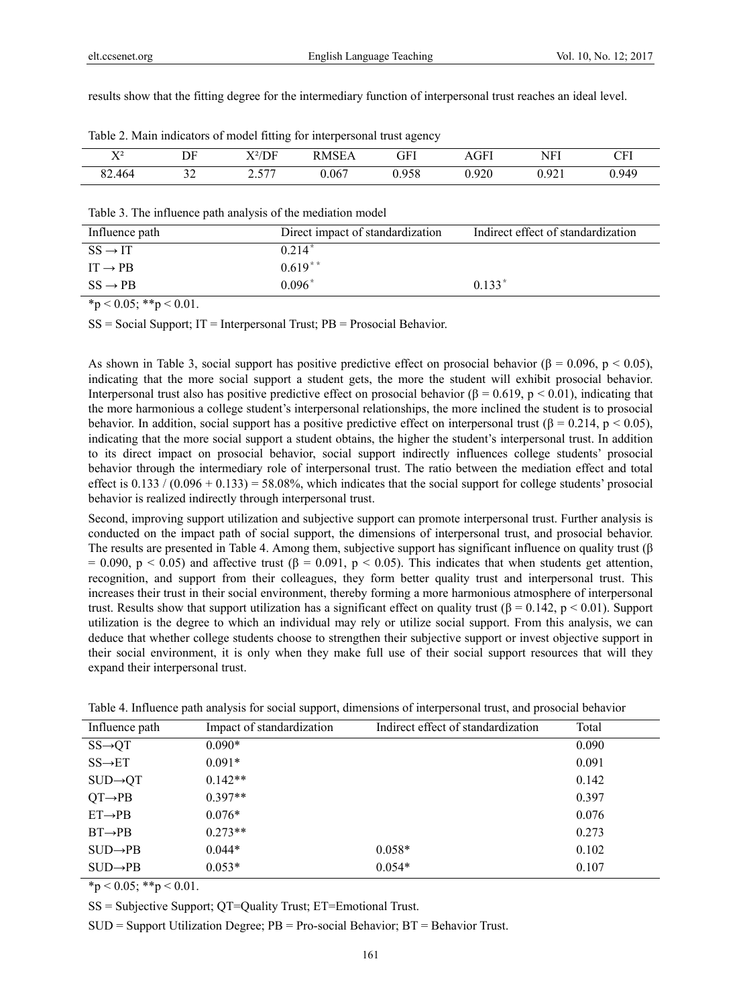results show that the fitting degree for the intermediary function of interpersonal trust reaches an ideal level.

|                                  |         | ~                                              |                       | ~<br>- |                   |                |       |
|----------------------------------|---------|------------------------------------------------|-----------------------|--------|-------------------|----------------|-------|
| $\mathbf{Y}$<br>- 4<br>$\Lambda$ | DE<br>◡ | $\tau$ $\tau$ $\Omega$ $\Gamma$<br>DF<br>، ۔ ا | $\mathbf{D}$<br>5 N A | GFI    | $\cap$ Ei<br>Aufi | NFI<br>- - - - | CFI   |
| 82.464<br>$\Omega$               | سدب     | $F \rightarrow T$<br>ا ب                       | 0.067                 | 0.958  | ስ ዐንስ<br>v.940    | 021<br>0.741   | 0.949 |

Table 2. Main indicators of model fitting for interpersonal trust agency

Table 3. The influence path analysis of the mediation model

| Influence path                                  | Direct impact of standardization | Indirect effect of standardization |
|-------------------------------------------------|----------------------------------|------------------------------------|
|                                                 |                                  |                                    |
| $SS \rightarrow IT$                             | $0.214*$                         |                                    |
| $IT \rightarrow PB$                             | $0.619**$                        |                                    |
| $SS \rightarrow PB$                             | $0.096*$                         | $0.133*$                           |
| $\star$ $\sim$ 0.00 $\star$ $\star$ $\sim$ 0.01 |                                  |                                    |

 $*_{p}$  < 0.05; \*\*p < 0.01.

 $SS = Social Support$ ;  $IT = Interpersonal Trust$ ;  $PB = Prosocial Behavior$ .

As shown in Table 3, social support has positive predictive effect on prosocial behavior ( $\beta = 0.096$ , p < 0.05), indicating that the more social support a student gets, the more the student will exhibit prosocial behavior. Interpersonal trust also has positive predictive effect on prosocial behavior (β = 0.619, p < 0.01), indicating that the more harmonious a college student's interpersonal relationships, the more inclined the student is to prosocial behavior. In addition, social support has a positive predictive effect on interpersonal trust  $(\beta = 0.214, p < 0.05)$ , indicating that the more social support a student obtains, the higher the student's interpersonal trust. In addition to its direct impact on prosocial behavior, social support indirectly influences college students' prosocial behavior through the intermediary role of interpersonal trust. The ratio between the mediation effect and total effect is  $0.133 / (0.096 + 0.133) = 58.08\%$ , which indicates that the social support for college students' prosocial behavior is realized indirectly through interpersonal trust.

Second, improving support utilization and subjective support can promote interpersonal trust. Further analysis is conducted on the impact path of social support, the dimensions of interpersonal trust, and prosocial behavior. The results are presented in Table 4. Among them, subjective support has significant influence on quality trust (β = 0.090, p < 0.05) and affective trust ( $\beta$  = 0.091, p < 0.05). This indicates that when students get attention, recognition, and support from their colleagues, they form better quality trust and interpersonal trust. This increases their trust in their social environment, thereby forming a more harmonious atmosphere of interpersonal trust. Results show that support utilization has a significant effect on quality trust (β = 0.142, p < 0.01). Support utilization is the degree to which an individual may rely or utilize social support. From this analysis, we can deduce that whether college students choose to strengthen their subjective support or invest objective support in their social environment, it is only when they make full use of their social support resources that will they expand their interpersonal trust.

| Influence path        | Impact of standardization | Indirect effect of standardization | Total |
|-----------------------|---------------------------|------------------------------------|-------|
| $SS \rightarrow QT$   | $0.090*$                  |                                    | 0.090 |
| $SS \rightarrow ET$   | $0.091*$                  |                                    | 0.091 |
| $SUD \rightarrow QT$  | $0.142**$                 |                                    | 0.142 |
| $QT\rightarrow PB$    | $0.397**$                 |                                    | 0.397 |
| $ET \rightarrow PB$   | $0.076*$                  |                                    | 0.076 |
| $BT \rightarrow PB$   | $0.273**$                 |                                    | 0.273 |
| $SUD \rightarrow PB$  | $0.044*$                  | $0.058*$                           | 0.102 |
| $SIJD \rightarrow PB$ | $0.053*$                  | $0.054*$                           | 0.107 |

Table 4. Influence path analysis for social support, dimensions of interpersonal trust, and prosocial behavior

 $*_{p} < 0.05$ ;  $*_{p} < 0.01$ .

SS = Subjective Support; QT=Quality Trust; ET=Emotional Trust.

 $SUB = Support Utilization Degree; PB = Pro-social Behavior; BT = Behavior Trust.$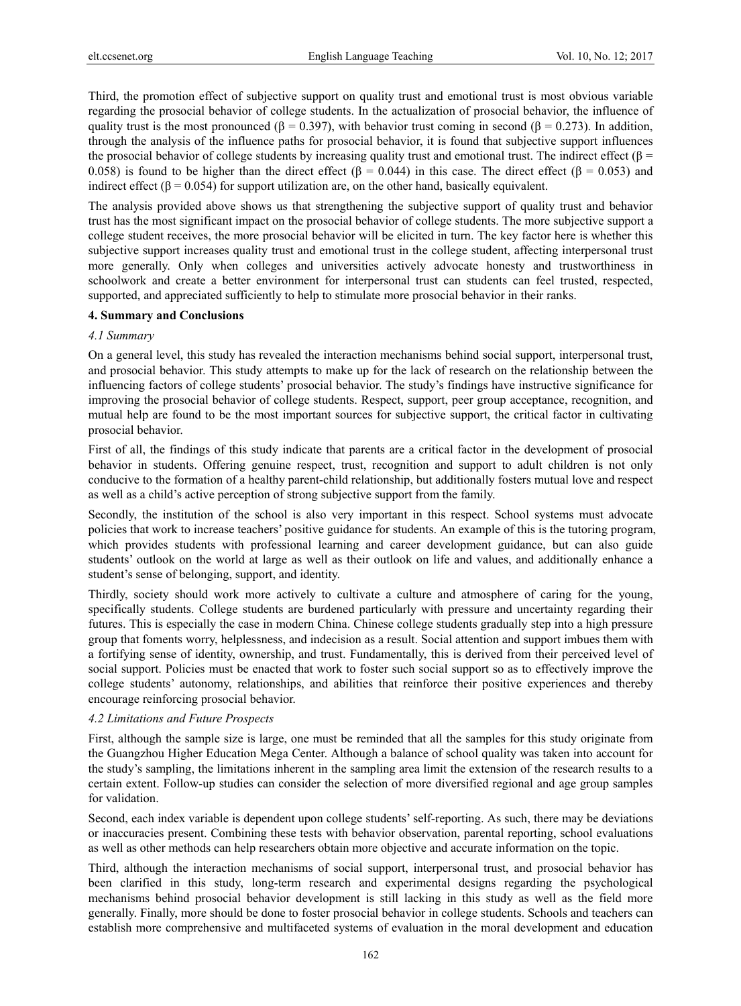Third, the promotion effect of subjective support on quality trust and emotional trust is most obvious variable regarding the prosocial behavior of college students. In the actualization of prosocial behavior, the influence of quality trust is the most pronounced ( $\beta = 0.397$ ), with behavior trust coming in second ( $\beta = 0.273$ ). In addition, through the analysis of the influence paths for prosocial behavior, it is found that subjective support influences the prosocial behavior of college students by increasing quality trust and emotional trust. The indirect effect ( $\beta$  = 0.058) is found to be higher than the direct effect ( $\beta$  = 0.044) in this case. The direct effect ( $\beta$  = 0.053) and indirect effect  $(\beta = 0.054)$  for support utilization are, on the other hand, basically equivalent.

The analysis provided above shows us that strengthening the subjective support of quality trust and behavior trust has the most significant impact on the prosocial behavior of college students. The more subjective support a college student receives, the more prosocial behavior will be elicited in turn. The key factor here is whether this subjective support increases quality trust and emotional trust in the college student, affecting interpersonal trust more generally. Only when colleges and universities actively advocate honesty and trustworthiness in schoolwork and create a better environment for interpersonal trust can students can feel trusted, respected, supported, and appreciated sufficiently to help to stimulate more prosocial behavior in their ranks.

## **4. Summary and Conclusions**

## *4.1 Summary*

On a general level, this study has revealed the interaction mechanisms behind social support, interpersonal trust, and prosocial behavior. This study attempts to make up for the lack of research on the relationship between the influencing factors of college students' prosocial behavior. The study's findings have instructive significance for improving the prosocial behavior of college students. Respect, support, peer group acceptance, recognition, and mutual help are found to be the most important sources for subjective support, the critical factor in cultivating prosocial behavior.

First of all, the findings of this study indicate that parents are a critical factor in the development of prosocial behavior in students. Offering genuine respect, trust, recognition and support to adult children is not only conducive to the formation of a healthy parent-child relationship, but additionally fosters mutual love and respect as well as a child's active perception of strong subjective support from the family.

Secondly, the institution of the school is also very important in this respect. School systems must advocate policies that work to increase teachers' positive guidance for students. An example of this is the tutoring program, which provides students with professional learning and career development guidance, but can also guide students' outlook on the world at large as well as their outlook on life and values, and additionally enhance a student's sense of belonging, support, and identity.

Thirdly, society should work more actively to cultivate a culture and atmosphere of caring for the young, specifically students. College students are burdened particularly with pressure and uncertainty regarding their futures. This is especially the case in modern China. Chinese college students gradually step into a high pressure group that foments worry, helplessness, and indecision as a result. Social attention and support imbues them with a fortifying sense of identity, ownership, and trust. Fundamentally, this is derived from their perceived level of social support. Policies must be enacted that work to foster such social support so as to effectively improve the college students' autonomy, relationships, and abilities that reinforce their positive experiences and thereby encourage reinforcing prosocial behavior.

### *4.2 Limitations and Future Prospects*

First, although the sample size is large, one must be reminded that all the samples for this study originate from the Guangzhou Higher Education Mega Center. Although a balance of school quality was taken into account for the study's sampling, the limitations inherent in the sampling area limit the extension of the research results to a certain extent. Follow-up studies can consider the selection of more diversified regional and age group samples for validation.

Second, each index variable is dependent upon college students' self-reporting. As such, there may be deviations or inaccuracies present. Combining these tests with behavior observation, parental reporting, school evaluations as well as other methods can help researchers obtain more objective and accurate information on the topic.

Third, although the interaction mechanisms of social support, interpersonal trust, and prosocial behavior has been clarified in this study, long-term research and experimental designs regarding the psychological mechanisms behind prosocial behavior development is still lacking in this study as well as the field more generally. Finally, more should be done to foster prosocial behavior in college students. Schools and teachers can establish more comprehensive and multifaceted systems of evaluation in the moral development and education